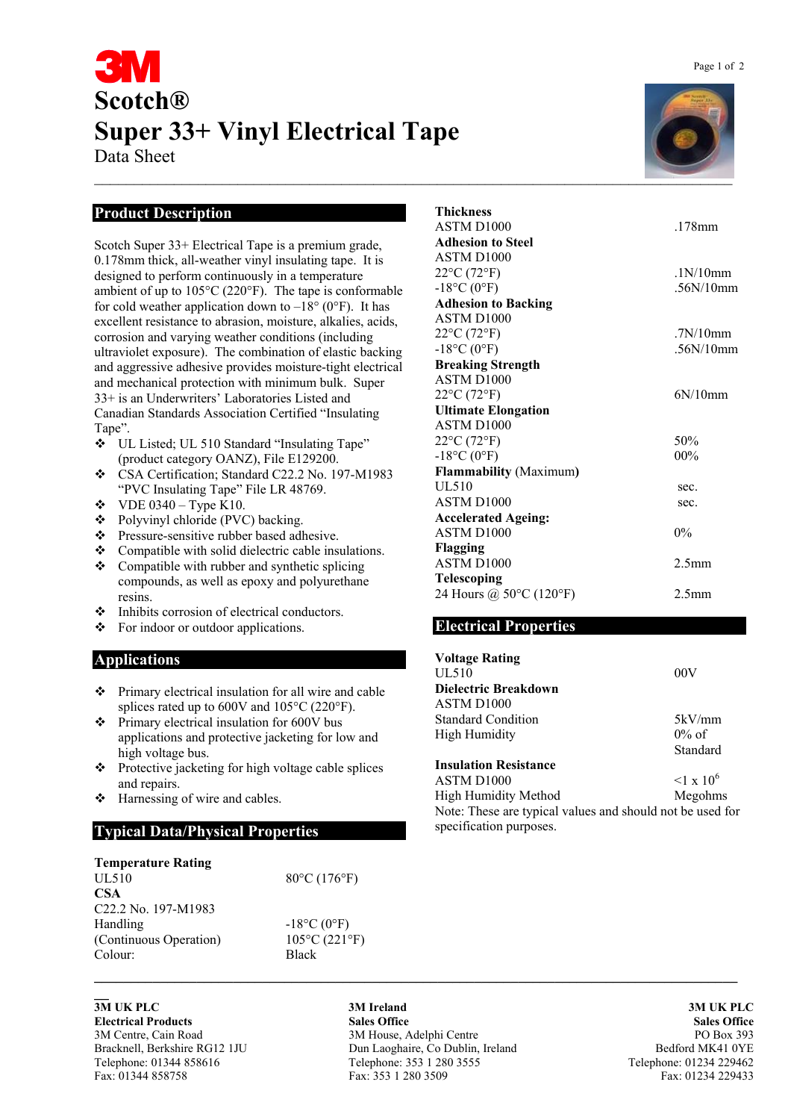# **Scotch® Super 33+ Vinyl Electrical Tape**

Data Sheet

## **Product Description**

Scotch Super 33+ Electrical Tape is a premium grade, 0.178mm thick, all-weather vinyl insulating tape. It is designed to perform continuously in a temperature ambient of up to 105°C (220°F). The tape is conformable for cold weather application down to  $-18^{\circ}$  (0°F). It has excellent resistance to abrasion, moisture, alkalies, acids, corrosion and varying weather conditions (including ultraviolet exposure). The combination of elastic backing and aggressive adhesive provides moisture-tight electrical and mechanical protection with minimum bulk. Super 33+ is an Underwriters' Laboratories Listed and Canadian Standards Association Certified "Insulating Tape".

- UL Listed; UL 510 Standard "Insulating Tape" (product category OANZ), File E129200.
- CSA Certification; Standard C22.2 No. 197-M1983 "PVC Insulating Tape" File LR 48769.
- $\div$  VDE 0340 Type K10.
- Polyvinyl chloride (PVC) backing.
- \* Pressure-sensitive rubber based adhesive.
- \* Compatible with solid dielectric cable insulations.
- Compatible with rubber and synthetic splicing compounds, as well as epoxy and polyurethane resins.
- $\div$  Inhibits corrosion of electrical conductors.
- For indoor or outdoor applications.

### **Applications**

- Primary electrical insulation for all wire and cable splices rated up to 600V and 105°C (220°F).
- $\div$  Primary electrical insulation for 600V bus applications and protective jacketing for low and high voltage bus.
- $\bullet$  Protective jacketing for high voltage cable splices and repairs.
- $\triangleleft$  Harnessing of wire and cables.

### **Typical Data/Physical Properties**

| <b>Temperature Rating</b>       |                         |
|---------------------------------|-------------------------|
| <b>UL510</b>                    | 80°C (176°F)            |
| <b>CSA</b>                      |                         |
| C <sub>22.2</sub> No. 197-M1983 |                         |
| Handling                        | $-18$ °C (0°F)          |
| (Continuous Operation)          | $105^{\circ}$ C (221°F) |
| Colour:                         | <b>Black</b>            |

**\_\_** 

**3M UK PLC 3M Ireland 3M UK PLC Electrical Products Sales Office Sales Office**  3M Centre, Cain Road 3M House, Adelphi Centre PO Box 393 Bracknell, Berkshire RG12 1JU Dun Laoghaire, Co Dublin, Ireland Bedford MK41 0YE Telephone: 01344 858616 Telephone: 353 1 280 3555 Telephone: 01234 229462 Fax: 01344 858758 Fax: 353 1 280 3509 Fax: 01234 229433

**\_\_\_\_\_\_\_\_\_\_\_\_\_\_\_\_\_\_\_\_\_\_\_\_\_\_\_\_\_\_\_\_\_\_\_\_\_\_\_\_\_\_\_\_\_\_\_\_\_\_\_\_\_\_\_\_\_\_\_\_\_\_\_\_\_\_\_\_\_\_\_\_\_\_\_\_\_\_\_\_\_\_\_\_\_\_\_\_**

 $\mathcal{L} = \mathcal{L} \mathcal{L} = \mathcal{L} \mathcal{L} = \mathcal{L} \mathcal{L} = \mathcal{L} \mathcal{L} = \mathcal{L} \mathcal{L} = \mathcal{L} \mathcal{L} = \mathcal{L} \mathcal{L} = \mathcal{L} \mathcal{L} = \mathcal{L} \mathcal{L} = \mathcal{L} \mathcal{L} = \mathcal{L} \mathcal{L} = \mathcal{L} \mathcal{L} = \mathcal{L} \mathcal{L} = \mathcal{L} \mathcal{L} = \mathcal{L} \mathcal{L} = \mathcal{L} \mathcal{L} = \mathcal{L$ 

| Thickness                      |                   |
|--------------------------------|-------------------|
| ASTM D1000                     | $178$ mm          |
| <b>Adhesion to Steel</b>       |                   |
| ASTM D <sub>1000</sub>         |                   |
| 22°C (72°F)                    | 1N/10mm           |
| $-18^{\circ}$ C $(0^{\circ}F)$ | .56N/10mm         |
| <b>Adhesion to Backing</b>     |                   |
| ASTM D <sub>1000</sub>         |                   |
| $22^{\circ}C(72^{\circ}F)$     | 7N/10mm           |
| $-18^{\circ}$ C $(0^{\circ}F)$ | 56N/10mm          |
| <b>Breaking Strength</b>       |                   |
| ASTM D1000                     |                   |
| $22^{\circ}C(72^{\circ}F)$     | 6N/10mm           |
| <b>Ultimate Elongation</b>     |                   |
| ASTM D1000                     |                   |
| 22°C (72°F)                    | 50%               |
| $-18^{\circ}C(0^{\circ}F)$     | $00\%$            |
| <b>Flammability (Maximum)</b>  |                   |
| UL 510                         | sec.              |
| ASTM D <sub>1000</sub>         | sec.              |
| <b>Accelerated Ageing:</b>     |                   |
| ASTM D <sub>1000</sub>         | $0\%$             |
| Flagging                       |                   |
| ASTM D <sub>1000</sub>         | 2.5 <sub>mm</sub> |
| <b>Telescoping</b>             |                   |
| 24 Hours @ 50°C (120°F)        | 2.5 <sub>mm</sub> |
|                                |                   |

### **Electrical Properties**

| <b>Voltage Rating</b>                                     |                            |
|-----------------------------------------------------------|----------------------------|
| <b>UL510</b>                                              | 00V                        |
| Dielectric Breakdown                                      |                            |
| ASTM D <sub>1000</sub>                                    |                            |
| <b>Standard Condition</b>                                 | 5kV/mm                     |
| High Humidity                                             | $0\%$ of                   |
|                                                           | Standard                   |
| <b>Insulation Resistance</b>                              |                            |
| ASTM D <sub>1000</sub>                                    | $\leq$ 1 x 10 <sup>6</sup> |
| <b>High Humidity Method</b>                               | Megohms                    |
| Note: These are typical values and should not be used for |                            |
| specification purposes.                                   |                            |